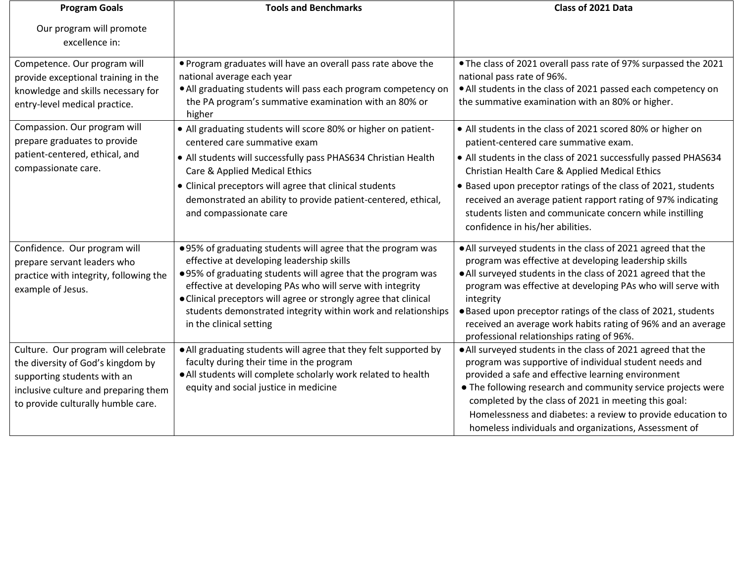| <b>Program Goals</b>                                                                                                                                                                  | <b>Tools and Benchmarks</b>                                                                                                                                                                                                                                                                                                                                                                          | Class of 2021 Data                                                                                                                                                                                                                                                                                                                                                                                                                                         |
|---------------------------------------------------------------------------------------------------------------------------------------------------------------------------------------|------------------------------------------------------------------------------------------------------------------------------------------------------------------------------------------------------------------------------------------------------------------------------------------------------------------------------------------------------------------------------------------------------|------------------------------------------------------------------------------------------------------------------------------------------------------------------------------------------------------------------------------------------------------------------------------------------------------------------------------------------------------------------------------------------------------------------------------------------------------------|
| Our program will promote<br>excellence in:                                                                                                                                            |                                                                                                                                                                                                                                                                                                                                                                                                      |                                                                                                                                                                                                                                                                                                                                                                                                                                                            |
| Competence. Our program will<br>provide exceptional training in the<br>knowledge and skills necessary for<br>entry-level medical practice.                                            | . Program graduates will have an overall pass rate above the<br>national average each year<br>. All graduating students will pass each program competency on<br>the PA program's summative examination with an 80% or<br>higher                                                                                                                                                                      | . The class of 2021 overall pass rate of 97% surpassed the 2021<br>national pass rate of 96%.<br>• All students in the class of 2021 passed each competency on<br>the summative examination with an 80% or higher.                                                                                                                                                                                                                                         |
| Compassion. Our program will<br>prepare graduates to provide<br>patient-centered, ethical, and<br>compassionate care.                                                                 | • All graduating students will score 80% or higher on patient-<br>centered care summative exam<br>• All students will successfully pass PHAS634 Christian Health<br>Care & Applied Medical Ethics<br>• Clinical preceptors will agree that clinical students<br>demonstrated an ability to provide patient-centered, ethical,<br>and compassionate care                                              | • All students in the class of 2021 scored 80% or higher on<br>patient-centered care summative exam.<br>• All students in the class of 2021 successfully passed PHAS634<br>Christian Health Care & Applied Medical Ethics<br>• Based upon preceptor ratings of the class of 2021, students<br>received an average patient rapport rating of 97% indicating<br>students listen and communicate concern while instilling<br>confidence in his/her abilities. |
| Confidence. Our program will<br>prepare servant leaders who<br>practice with integrity, following the<br>example of Jesus.                                                            | .95% of graduating students will agree that the program was<br>effective at developing leadership skills<br>.95% of graduating students will agree that the program was<br>effective at developing PAs who will serve with integrity<br>• Clinical preceptors will agree or strongly agree that clinical<br>students demonstrated integrity within work and relationships<br>in the clinical setting | • All surveyed students in the class of 2021 agreed that the<br>program was effective at developing leadership skills<br>• All surveyed students in the class of 2021 agreed that the<br>program was effective at developing PAs who will serve with<br>integrity<br>. Based upon preceptor ratings of the class of 2021, students<br>received an average work habits rating of 96% and an average<br>professional relationships rating of 96%.            |
| Culture. Our program will celebrate<br>the diversity of God's kingdom by<br>supporting students with an<br>inclusive culture and preparing them<br>to provide culturally humble care. | . All graduating students will agree that they felt supported by<br>faculty during their time in the program<br>. All students will complete scholarly work related to health<br>equity and social justice in medicine                                                                                                                                                                               | • All surveyed students in the class of 2021 agreed that the<br>program was supportive of individual student needs and<br>provided a safe and effective learning environment<br>• The following research and community service projects were<br>completed by the class of 2021 in meeting this goal:<br>Homelessness and diabetes: a review to provide education to<br>homeless individuals and organizations, Assessment of                               |